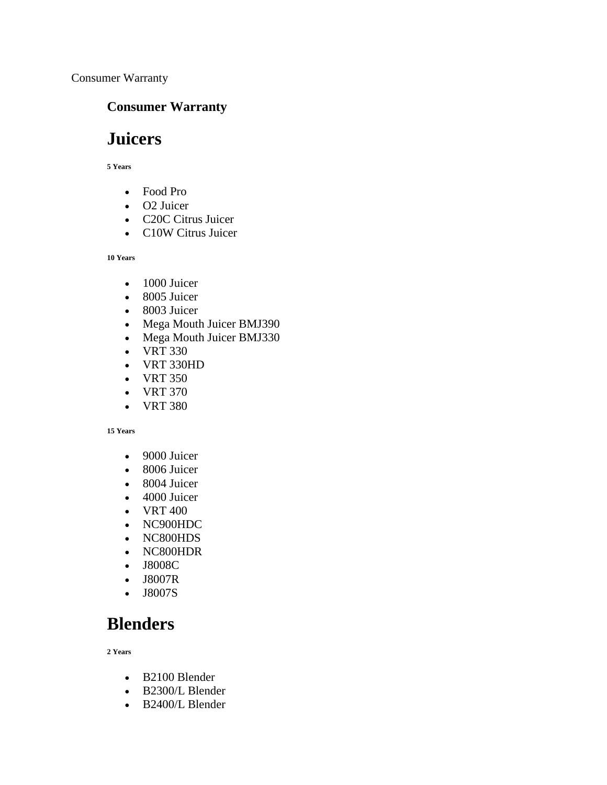Consumer Warranty

### **Consumer Warranty**

# **Juicers**

**5 Years**

- Food Pro
- O2 Juicer
- C20C Citrus Juicer
- C10W Citrus Juicer

**10 Years**

- 1000 Juicer
- 8005 Juicer
- 8003 Juicer
- Mega Mouth Juicer BMJ390
- Mega Mouth Juicer BMJ330
- VRT 330
- VRT 330HD
- VRT 350
- VRT 370
- VRT 380

#### **15 Years**

- 9000 Juicer
- 8006 Juicer
- 8004 Juicer
- 4000 Juicer
- VRT 400
- NC900HDC
- NC800HDS
- NC800HDR
- J8008C
- J8007R
- J8007S

## **Blenders**

**2 Years**

- B2100 Blender
- B2300/L Blender
- B2400/L Blender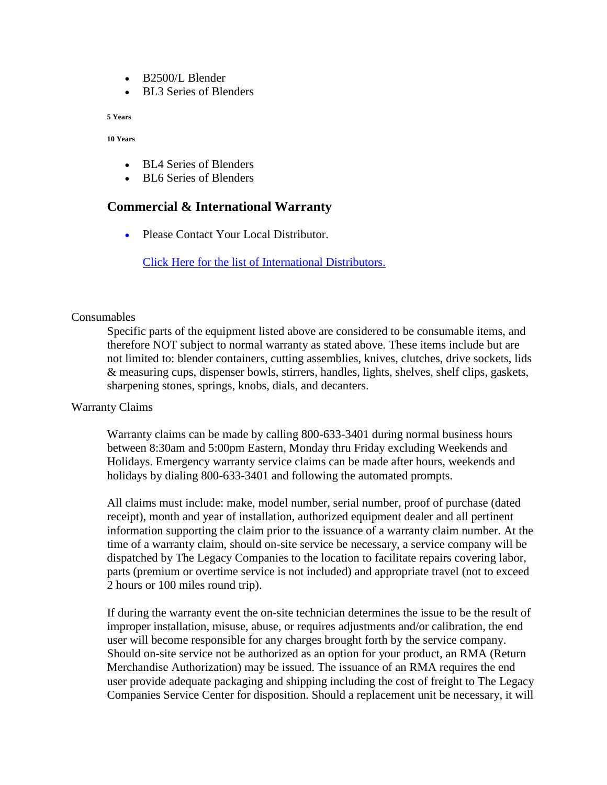- B2500/L Blender
- BL3 Series of Blenders

**5 Years**

**10 Years**

- BL4 Series of Blenders
- BL6 Series of Blenders

### **Commercial & International Warranty**

•Please Contact Your Local Distributor.

[Click Here for the list of International Distributors.](http://www.omegajuicers.com/international/)

#### **Consumables**

Specific parts of the equipment listed above are considered to be consumable items, and therefore NOT subject to normal warranty as stated above. These items include but are not limited to: blender containers, cutting assemblies, knives, clutches, drive sockets, lids & measuring cups, dispenser bowls, stirrers, handles, lights, shelves, shelf clips, gaskets, sharpening stones, springs, knobs, dials, and decanters.

#### Warranty Claims

Warranty claims can be made by calling 800-633-3401 during normal business hours between 8:30am and 5:00pm Eastern, Monday thru Friday excluding Weekends and Holidays. Emergency warranty service claims can be made after hours, weekends and holidays by dialing 800-633-3401 and following the automated prompts.

All claims must include: make, model number, serial number, proof of purchase (dated receipt), month and year of installation, authorized equipment dealer and all pertinent information supporting the claim prior to the issuance of a warranty claim number. At the time of a warranty claim, should on-site service be necessary, a service company will be dispatched by The Legacy Companies to the location to facilitate repairs covering labor, parts (premium or overtime service is not included) and appropriate travel (not to exceed 2 hours or 100 miles round trip).

If during the warranty event the on-site technician determines the issue to be the result of improper installation, misuse, abuse, or requires adjustments and/or calibration, the end user will become responsible for any charges brought forth by the service company. Should on-site service not be authorized as an option for your product, an RMA (Return Merchandise Authorization) may be issued. The issuance of an RMA requires the end user provide adequate packaging and shipping including the cost of freight to The Legacy Companies Service Center for disposition. Should a replacement unit be necessary, it will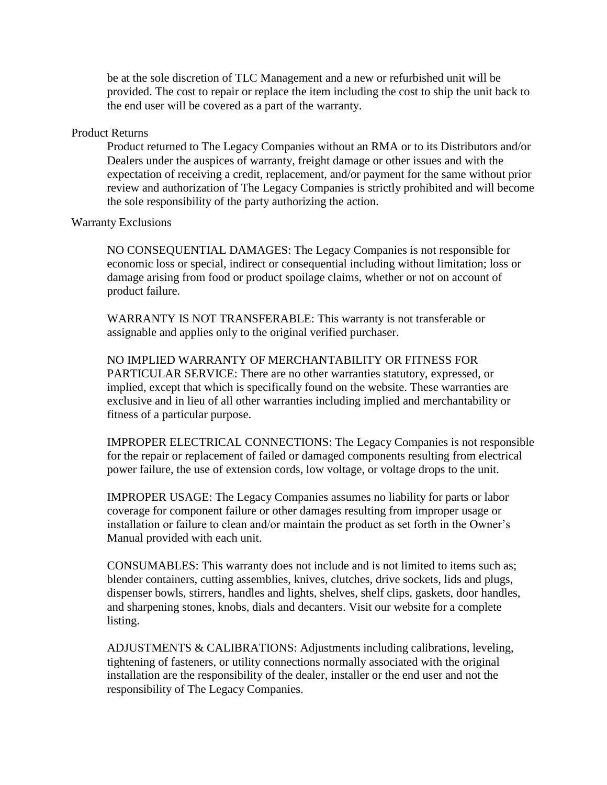be at the sole discretion of TLC Management and a new or refurbished unit will be provided. The cost to repair or replace the item including the cost to ship the unit back to the end user will be covered as a part of the warranty.

#### Product Returns

Product returned to The Legacy Companies without an RMA or to its Distributors and/or Dealers under the auspices of warranty, freight damage or other issues and with the expectation of receiving a credit, replacement, and/or payment for the same without prior review and authorization of The Legacy Companies is strictly prohibited and will become the sole responsibility of the party authorizing the action.

#### Warranty Exclusions

NO CONSEQUENTIAL DAMAGES: The Legacy Companies is not responsible for economic loss or special, indirect or consequential including without limitation; loss or damage arising from food or product spoilage claims, whether or not on account of product failure.

WARRANTY IS NOT TRANSFERABLE: This warranty is not transferable or assignable and applies only to the original verified purchaser.

NO IMPLIED WARRANTY OF MERCHANTABILITY OR FITNESS FOR PARTICULAR SERVICE: There are no other warranties statutory, expressed, or implied, except that which is specifically found on the website. These warranties are exclusive and in lieu of all other warranties including implied and merchantability or fitness of a particular purpose.

IMPROPER ELECTRICAL CONNECTIONS: The Legacy Companies is not responsible for the repair or replacement of failed or damaged components resulting from electrical power failure, the use of extension cords, low voltage, or voltage drops to the unit.

IMPROPER USAGE: The Legacy Companies assumes no liability for parts or labor coverage for component failure or other damages resulting from improper usage or installation or failure to clean and/or maintain the product as set forth in the Owner's Manual provided with each unit.

CONSUMABLES: This warranty does not include and is not limited to items such as; blender containers, cutting assemblies, knives, clutches, drive sockets, lids and plugs, dispenser bowls, stirrers, handles and lights, shelves, shelf clips, gaskets, door handles, and sharpening stones, knobs, dials and decanters. Visit our website for a complete listing.

ADJUSTMENTS & CALIBRATIONS: Adjustments including calibrations, leveling, tightening of fasteners, or utility connections normally associated with the original installation are the responsibility of the dealer, installer or the end user and not the responsibility of The Legacy Companies.